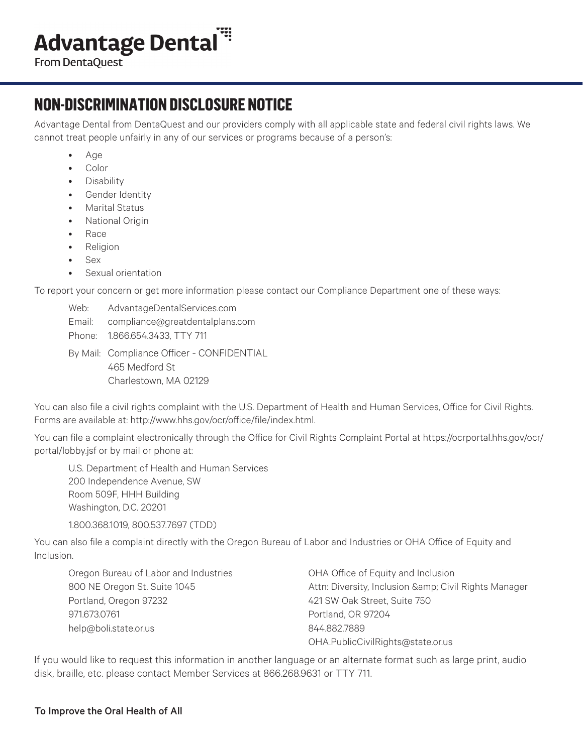## **Advantage Dental"**

From DentaQuest

## **NON-DISCRIMINATION DISCLOSURE NOTICE**

Advantage Dental from DentaQuest and our providers comply with all applicable state and federal civil rights laws. We cannot treat people unfairly in any of our services or programs because of a person's:

- Age
- Color
- Disability
- Gender Identity
- Marital Status
- National Origin
- Race
- Religion
- Sex
- Sexual orientation

To report your concern or get more information please contact our Compliance Department one of these ways:

- Web: AdvantageDentalServices.com Email: compliance@greatdentalplans.com
- Phone: 1.866.654.3433, TTY 711
- By Mail: Compliance Officer CONFIDENTIAL 465 Medford St Charlestown, MA 02129

You can also file a civil rights complaint with the U.S. Department of Health and Human Services, Office for Civil Rights. Forms are available at: http://www.hhs.gov/ocr/office/file/index.html.

You can file a complaint electronically through the Office for Civil Rights Complaint Portal at https://ocrportal.hhs.gov/ocr/ portal/lobby.jsf or by mail or phone at:

U.S. Department of Health and Human Services 200 Independence Avenue, SW Room 509F, HHH Building Washington, D.C. 20201

1.800.368.1019, 800.537.7697 (TDD)

You can also file a complaint directly with the Oregon Bureau of Labor and Industries or OHA Office of Equity and Inclusion.

Oregon Bureau of Labor and Industries OHA Office of Equity and Inclusion Portland, Oregon 97232 421 SW Oak Street, Suite 750 971.673.0761 Portland, OR 97204 help@boli.state.or.us 844.882.7889

800 NE Oregon St. Suite 1045 **Attn: Diversity, Inclusion & Amp**; Civil Rights Manager OHA.PublicCivilRights@state.or.us

If you would like to request this information in another language or an alternate format such as large print, audio disk, braille, etc. please contact Member Services at 866.268.9631 or TTY 711.